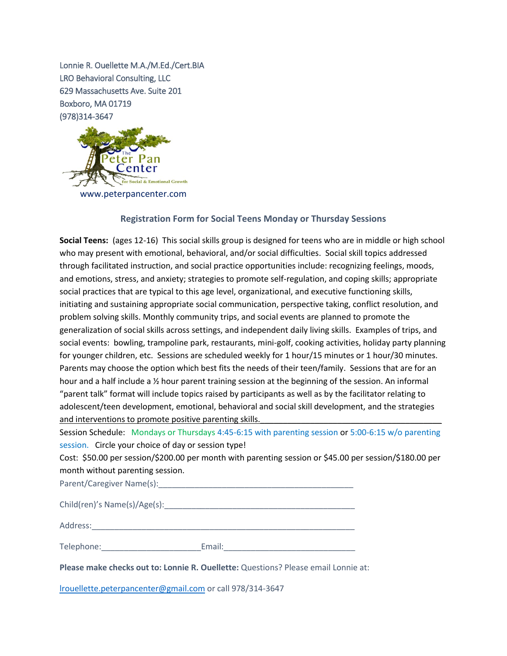Lonnie R. Ouellette M.A./M.Ed./Cert.BIA LRO Behavioral Consulting, LLC 629 Massachusetts Ave. Suite 201 Boxboro, MA 01719 (978)314-3647



## **Registration Form for Social Teens Monday or Thursday Sessions**

**Social Teens:** (ages 12-16) This social skills group is designed for teens who are in middle or high school who may present with emotional, behavioral, and/or social difficulties. Social skill topics addressed through facilitated instruction, and social practice opportunities include: recognizing feelings, moods, and emotions, stress, and anxiety; strategies to promote self-regulation, and coping skills; appropriate social practices that are typical to this age level, organizational, and executive functioning skills, initiating and sustaining appropriate social communication, perspective taking, conflict resolution, and problem solving skills. Monthly community trips, and social events are planned to promote the generalization of social skills across settings, and independent daily living skills. Examples of trips, and social events: bowling, trampoline park, restaurants, mini-golf, cooking activities, holiday party planning for younger children, etc. Sessions are scheduled weekly for 1 hour/15 minutes or 1 hour/30 minutes. Parents may choose the option which best fits the needs of their teen/family. Sessions that are for an hour and a half include a 1/2 hour parent training session at the beginning of the session. An informal "parent talk" format will include topics raised by participants as well as by the facilitator relating to adolescent/teen development, emotional, behavioral and social skill development, and the strategies and interventions to promote positive parenting skills.

Session Schedule: Mondays or Thursdays 4:45-6:15 with parenting session or 5:00-6:15 w/o parenting session. Circle your choice of day or session type!

Cost: \$50.00 per session/\$200.00 per month with parenting session or \$45.00 per session/\$180.00 per month without parenting session.

Parent/Caregiver Name(s):

| Child(ren)'s Name(s)/Age(s): |  |
|------------------------------|--|
|------------------------------|--|

Address:\_\_\_\_\_\_\_\_\_\_\_\_\_\_\_\_\_\_\_\_\_\_\_\_\_\_\_\_\_\_\_\_\_\_\_\_\_\_\_\_\_\_\_\_\_\_\_\_\_\_\_\_\_\_\_\_\_\_

| Telephone: | :mail: |
|------------|--------|
|            |        |

**Please make checks out to: Lonnie R. Ouellette:** Questions? Please email Lonnie at:

[lrouellette.peterpancenter@gmail.com](mailto:lrouellette.peterpancenter@gmail.com) or call 978/314-3647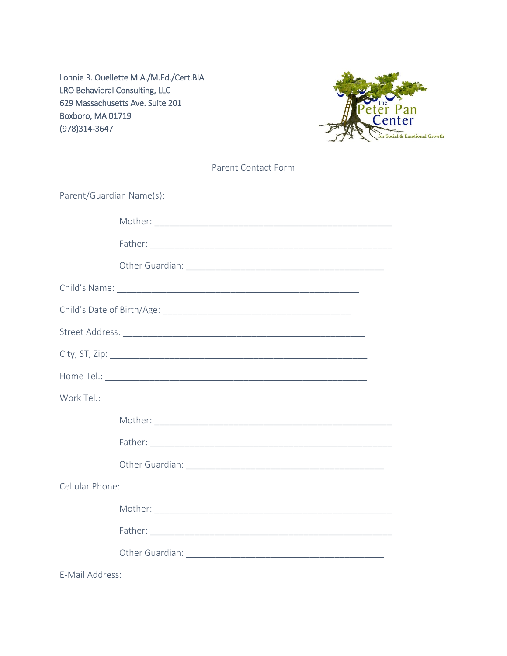Lonnie R. Ouellette M.A./M.Ed./Cert.BIA LRO Behavioral Consulting, LLC 629 Massachusetts Ave. Suite 201 Boxboro, MA 01719 (978)314-3647



|                          | Parent Contact Form |
|--------------------------|---------------------|
| Parent/Guardian Name(s): |                     |
|                          |                     |
|                          |                     |
|                          |                     |
|                          |                     |
|                          |                     |
|                          |                     |
|                          |                     |
|                          |                     |
| Work Tel.:               |                     |
|                          |                     |
|                          |                     |
|                          |                     |
| Cellular Phone:          |                     |
|                          |                     |
|                          |                     |
|                          |                     |

E-Mail Address: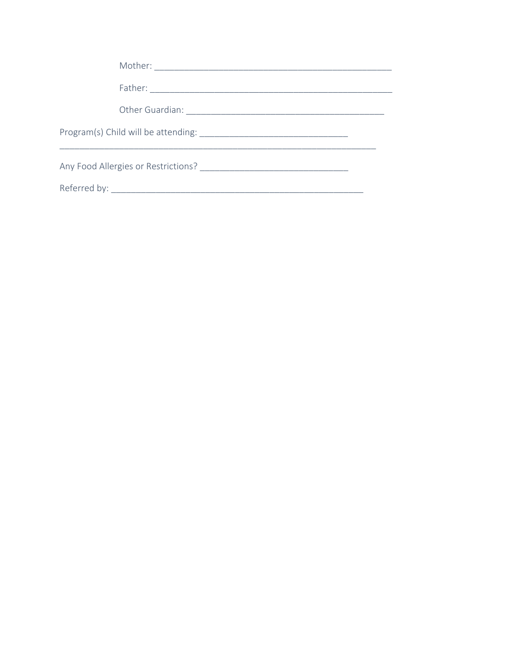| Referred by: |  |
|--------------|--|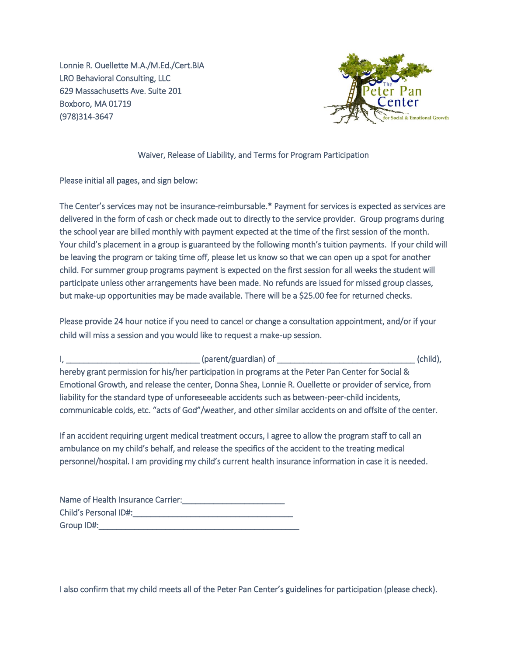Lonnie R. Ouellette M.A./M.Ed./Cert.BIA LRO Behavioral Consulting, LLC 629 Massachusetts Ave. Suite 201 Boxboro, MA 01719 (978)314-3647



## Waiver, Release of Liability, and Terms for Program Participation

Please initial all pages, and sign below:

The Center's services may not be insurance-reimbursable.\* Payment for services is expected as services are delivered in the form of cash or check made out to directly to the service provider. Group programs during the school year are billed monthly with payment expected at the time of the first session of the month. Your child's placement in a group is guaranteed by the following month's tuition payments. If your child will be leaving the program or taking time off, please let us know so that we can open up a spot for another child. For summer group programs payment is expected on the first session for all weeks the student will participate unless other arrangements have been made. No refunds are issued for missed group classes, but make-up opportunities may be made available. There will be a \$25.00 fee for returned checks.

Please provide 24 hour notice if you need to cancel or change a consultation appointment, and/or if your child will miss a session and you would like to request a make-up session.

I, \_\_\_\_\_\_\_\_\_\_\_\_\_\_\_\_\_\_\_\_\_\_\_\_\_\_\_\_\_\_ (parent/guardian) of \_\_\_\_\_\_\_\_\_\_\_\_\_\_\_\_\_\_\_\_\_\_\_\_\_\_\_\_\_\_\_ (child), hereby grant permission for his/her participation in programs at the Peter Pan Center for Social & Emotional Growth, and release the center, Donna Shea, Lonnie R. Ouellette or provider of service, from liability for the standard type of unforeseeable accidents such as between-peer-child incidents, communicable colds, etc. "acts of God"/weather, and other similar accidents on and offsite of the center.

If an accident requiring urgent medical treatment occurs, I agree to allow the program staff to call an ambulance on my child's behalf, and release the specifics of the accident to the treating medical personnel/hospital. I am providing my child's current health insurance information in case it is needed.

| Name of Health Insurance Carrier: |
|-----------------------------------|
| Child's Personal ID#:             |
| Group ID#:                        |

I also confirm that my child meets all of the Peter Pan Center's guidelines for participation (please check).